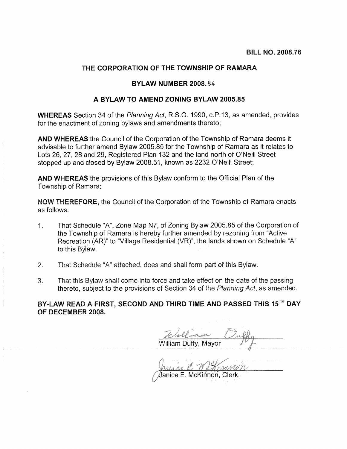## THE CORPORATION OF THE TOWNSHIP OF RAMARA

## BYLAW NUMBER 2008.84

## A BYLAW TO AMEND ZONING BYLAW 2005.85

**WHEREAS** Section 34 of the Planning Act, R.S.O. 1990, c.P.13, as amended, provides for the enactment of zoning bylaws and amendments thereto;

AND WHEREAS the Council of the Corporation of the Township of Ramara deems it advisable to further amend Bylaw 2005.85 for the Township of Ramara as it relates to Lots 26, 27, 28 and 29, Registered Plan 132 and the land north of O'Neill Street stopped up and closed by Bylaw 2008.51, known as 2232 O'Neill Street;

AND WHEREAS the provisions of this Bylaw conform to the Official Plan of the Township of Ramara:

**NOW THEREFORE.** the Council of the Corporation of the Township of Ramara enacts as follows:

- That Schedule "A", Zone Map N7, of Zoning Bylaw 2005.85 of the Corporation of  $1.$ the Township of Ramara is hereby further amended by rezoning from "Active" Recreation (AR)" to "Village Residential (VR)", the lands shown on Schedule "A" to this Bylaw.
- $2<sup>1</sup>$ That Schedule "A" attached, does and shall form part of this Bylaw.
- 3. That this Bylaw shall come into force and take effect on the date of the passing thereto, subject to the provisions of Section 34 of the Planning Act, as amended.

BY-LAW READ A FIRST, SECOND AND THIRD TIME AND PASSED THIS 15TH DAY OF DECEMBER 2008.

<u> William Duffy, Mayor</u>

Janice E. McKinnon, Clerk